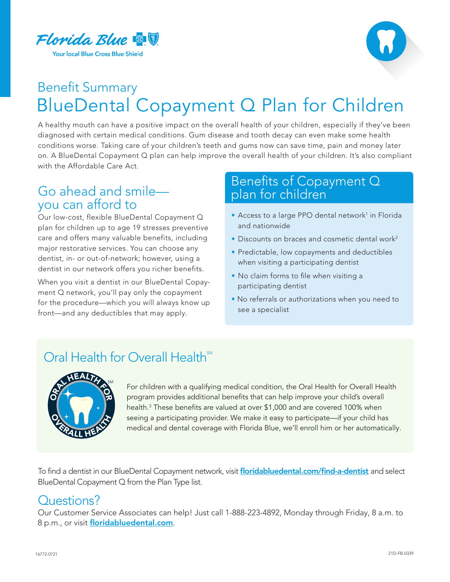



# Benefit Summary BlueDental Copayment Q Plan for Children

A healthy mouth can have a positive impact on the overall health of your children, especially if they've been diagnosed with certain medical conditions. Gum disease and tooth decay can even make some health conditions worse. Taking care of your children's teeth and gums now can save time, pain and money later on. A BlueDental Copayment Q plan can help improve the overall health of your children. It's also compliant with the Affordable Care Act.

## Go ahead and smile you can afford to

Our low-cost, flexible BlueDental Copayment Q plan for children up to age 19 stresses preventive care and offers many valuable benefits, including major restorative services. You can choose any dentist, in- or out-of-network; however, using a dentist in our network offers you richer benefits.

When you visit a dentist in our BlueDental Copayment Q network, you'll pay only the copayment for the procedure—which you will always know up front—and any deductibles that may apply.

#### Benefits of Copayment Q plan for children

- Access to a large PPO dental network<sup>1</sup> in Florida and nationwide
- Discounts on braces and cosmetic dental work<sup>2</sup>
- Predictable, low copayments and deductibles when visiting a participating dentist
- No claim forms to file when visiting a participating dentist
- No referrals or authorizations when you need to see a specialist

# Oral Health for Overall Health<sup>SM</sup>



For children with a qualifying medical condition, the Oral Health for Overall Health program provides additional benefits that can help improve your child's overall health.3 These benefits are valued at over \$1,000 and are covered 100% when seeing a participating provider. We make it easy to participate—if your child has medical and dental coverage with Florida Blue, we'll enroll him or her automatically.

To find a dentist in our BlueDental Copayment network, visit [floridabluedental.com/find-a-dentist](http://floridabluedental.com/find-a-dentist) and select BlueDental Copayment Q from the Plan Type list.

#### Questions?

Our Customer Service Associates can help! Just call 1-888-223-4892, Monday through Friday, 8 a.m. to 8 p.m., or visit [floridabluedental.com](http://floridabluedental.com).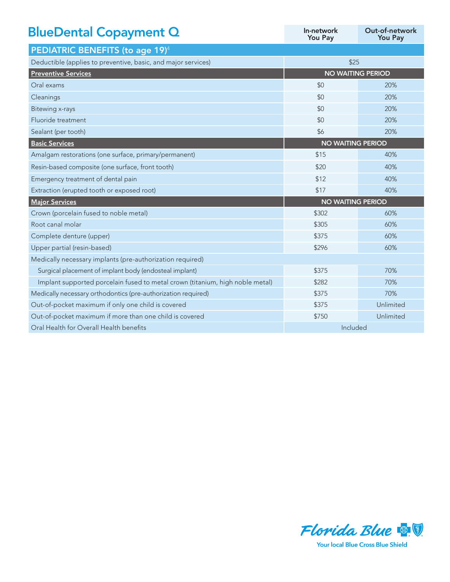| <b>BlueDental Copayment Q</b>                                                 | In-network<br><b>You Pay</b> | Out-of-network<br><b>You Pay</b> |
|-------------------------------------------------------------------------------|------------------------------|----------------------------------|
| PEDIATRIC BENEFITS (to age 19) <sup>4</sup>                                   |                              |                                  |
| Deductible (applies to preventive, basic, and major services)                 | \$25                         |                                  |
| <b>Preventive Services</b>                                                    | <b>NO WAITING PERIOD</b>     |                                  |
| Oral exams                                                                    | \$0                          | 20%                              |
| Cleanings                                                                     | \$0                          | 20%                              |
| <b>Bitewing x-rays</b>                                                        | \$0                          | 20%                              |
| Fluoride treatment                                                            | \$0                          | 20%                              |
| Sealant (per tooth)                                                           | \$6                          | 20%                              |
| <b>Basic Services</b>                                                         | <b>NO WAITING PERIOD</b>     |                                  |
| Amalgam restorations (one surface, primary/permanent)                         | \$15                         | 40%                              |
| Resin-based composite (one surface, front tooth)                              | \$20                         | 40%                              |
| Emergency treatment of dental pain                                            | \$12                         | 40%                              |
| Extraction (erupted tooth or exposed root)                                    | \$17                         | 40%                              |
| <b>Major Services</b>                                                         | <b>NO WAITING PERIOD</b>     |                                  |
| Crown (porcelain fused to noble metal)                                        | \$302                        | 60%                              |
| Root canal molar                                                              | \$305                        | 60%                              |
| Complete denture (upper)                                                      | \$375                        | 60%                              |
| Upper partial (resin-based)                                                   | \$296                        | 60%                              |
| Medically necessary implants (pre-authorization required)                     |                              |                                  |
| Surgical placement of implant body (endosteal implant)                        | \$375                        | 70%                              |
| Implant supported porcelain fused to metal crown (titanium, high noble metal) | \$282                        | 70%                              |
| Medically necessary orthodontics (pre-authorization required)                 | \$375                        | 70%                              |
| Out-of-pocket maximum if only one child is covered                            | \$375                        | Unlimited                        |
| Out-of-pocket maximum if more than one child is covered                       | \$750                        | Unlimited                        |
| Oral Health for Overall Health benefits                                       | Included                     |                                  |



**Your local Blue Cross Blue Shield**